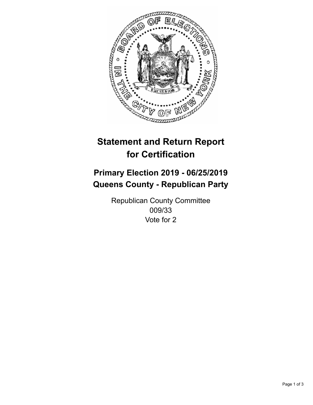

## **Statement and Return Report for Certification**

## **Primary Election 2019 - 06/25/2019 Queens County - Republican Party**

Republican County Committee 009/33 Vote for 2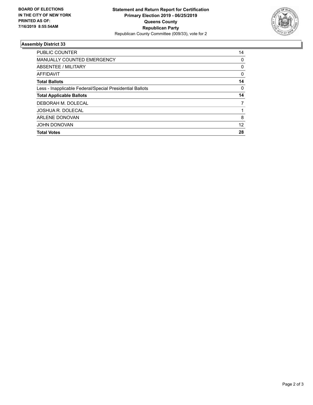

## **Assembly District 33**

| <b>PUBLIC COUNTER</b>                                    | 14 |
|----------------------------------------------------------|----|
| <b>MANUALLY COUNTED EMERGENCY</b>                        | 0  |
| ABSENTEE / MILITARY                                      | 0  |
| <b>AFFIDAVIT</b>                                         | 0  |
| <b>Total Ballots</b>                                     | 14 |
| Less - Inapplicable Federal/Special Presidential Ballots | 0  |
| <b>Total Applicable Ballots</b>                          | 14 |
| DEBORAH M. DOLECAL                                       | 7  |
| JOSHUA R. DOLECAL                                        |    |
| <b>ARLENE DONOVAN</b>                                    | 8  |
| <b>JOHN DONOVAN</b>                                      | 12 |
| <b>Total Votes</b>                                       | 28 |